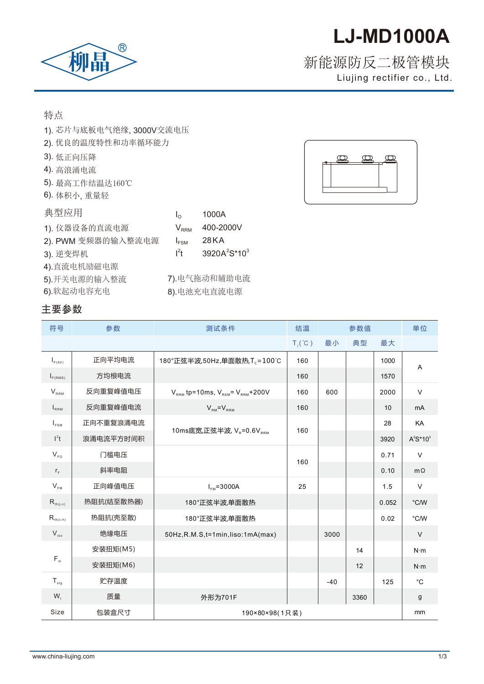# **LJ-MD1000A**

## $^{\circledR}$ 柳晶

### Liujing rectifier co., Ltd. 新能源防反二极管模块

特点

- 1). 芯片与底板电气绝缘, 3000V交 流电压
- 2). 优良的温度特性和功率循环能 力
- 3). 低正向压降
- 4). 高浪涌电流
- 5). 最高工作结温达160℃
- 6). 体 积小, 重量轻

| 典型应用               | $I_{\Omega}$              | 1000A                                |
|--------------------|---------------------------|--------------------------------------|
| 1). 仪器设备的直流电源      | $\mathsf{V}_\mathsf{RRM}$ | 400-2000V                            |
| 2). PWM 变频器的输入整流电源 | $I_{FSM}$                 | 28 K A                               |
| 3). 逆变焊机           | $l^2t$                    | 3920A <sup>2</sup> S*10 <sup>3</sup> |
| 4).直流电机励磁电源        |                           |                                      |
| 5).开关电源的输入整流       |                           | 7).电气拖动和辅助电流                         |
| 6).软起动电容充电         |                           | 8). 电池充电直流电源                         |



| 符号                               | 参数         | 测试条件                                             | 结温               | 参数值   |      |       | 单位           |
|----------------------------------|------------|--------------------------------------------------|------------------|-------|------|-------|--------------|
|                                  |            |                                                  | $T_i(^{\circ}C)$ | 最小    | 典型   | 最大    |              |
| $I_{F(AV)}$                      | 正向平均电流     | 180°正弦半波,50Hz,单面散热,T <sub>c</sub> =100℃          | 160              |       |      | 1000  | A            |
| $I_{F(RMS)}$                     | 方均根电流      |                                                  | 160              |       |      | 1570  |              |
| $V_{RRM}$                        | 反向重复峰值电压   | $V_{RRM}$ tp=10ms, $V_{RSM}$ = $V_{RRM}$ +200V   | 160              | 600   |      | 2000  | $\vee$       |
| $I_{RRM}$                        | 反向重复峰值电流   | $V_{\rm RM} = V_{\rm RRM}$                       | 160              |       |      | 10    | mA           |
| $I_{FSM}$                        | 正向不重复浪涌电流  |                                                  | 160              |       |      | 28    | KA           |
| $l^2t$                           | 浪涌电流平方时间积  | 10ms底宽,正弦半波, V <sub>R</sub> =0.6V <sub>RRM</sub> |                  |       |      | 3920  | $A^2S^*10^3$ |
| $V_{FQ}$                         | 门槛电压       |                                                  | 160              |       |      | 0.71  | $\vee$       |
| $r_F$                            | 斜率电阻       |                                                  |                  |       |      | 0.10  | $m\Omega$    |
| $V_{FN}$                         | 正向峰值电压     | $I_{FM} = 3000A$                                 | 25               |       |      | 1.5   | $\vee$       |
| $R_{th(j-c)}$                    | 热阻抗(结至散热器) | 180°正弦半波,单面散热                                    |                  |       |      | 0.052 | °C/W         |
| $R_{\scriptscriptstyle th(c-h)}$ | 热阻抗(壳至散)   | 180°正弦半波,单面散热                                    |                  |       |      | 0.02  | °C/W         |
| $V_{iso}$                        | 绝缘电压       | 50Hz, R.M.S, t=1min, liso:1mA(max)               |                  | 3000  |      |       | $\vee$       |
| $F_m$                            | 安装扭矩(M5)   |                                                  |                  |       | 14   |       | $N \cdot m$  |
|                                  | 安装扭矩(M6)   |                                                  |                  |       | 12   |       | $N \cdot m$  |
| $T_{\text{stg}}$                 | 贮存温度       |                                                  |                  | $-40$ |      | 125   | $^{\circ}C$  |
| $W_t$                            | 质量         | 外形为701F                                          |                  |       | 3360 |       | g            |
| Size                             | 包装盒尺寸      | 190×80×98(1只装)                                   |                  |       |      |       | mm           |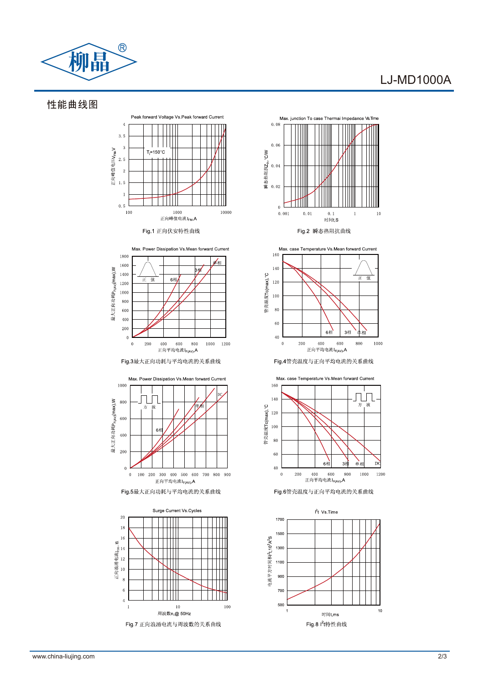

#### LJ-MD1000A

性能曲线图









Fig 6管壳温度与正向平均电流的关系曲线